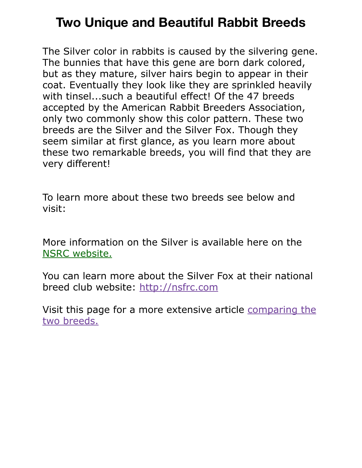## **Two Unique and Beautiful Rabbit Breeds**

The Silver color in rabbits is caused by the silvering gene. The bunnies that have this gene are born dark colored, but as they mature, silver hairs begin to appear in their coat. Eventually they look like they are sprinkled heavily with tinsel...such a beautiful effect! Of the 47 breeds accepted by the American Rabbit Breeders Association, only two commonly show this color pattern. These two breeds are the Silver and the Silver Fox. Though they seem similar at first glance, as you learn more about these two remarkable breeds, you will find that they are very different!

To learn more about these two breeds see below and visit:

More information on the Silver is available here on the [NSRC website.](https://www.silverrabbitclub.com/breed-information.html)

You can learn more about the Silver Fox at their national breed club website: [http://nsfrc.com](http://nsfrc.com/)

Visit this page for a more extensive article [comparing the](http://rabbitsmarties.com/2012/02/silver-fox-information-rare-rabbit/)  [two breeds.](http://rabbitsmarties.com/2012/02/silver-fox-information-rare-rabbit/)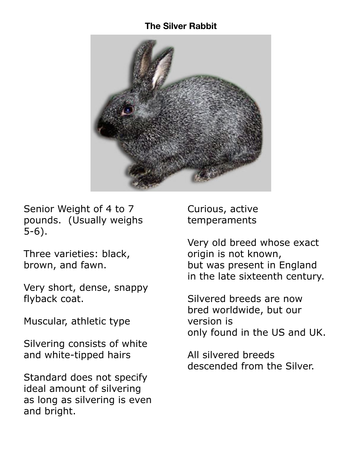## **The Silver Rabbit**



Senior Weight of 4 to 7 pounds. (Usually weighs 5-6).

Three varieties: black, brown, and fawn.

Very short, dense, snappy flyback coat.

Muscular, athletic type

Silvering consists of white and white-tipped hairs

Standard does not specify ideal amount of silvering as long as silvering is even and bright.

Curious, active temperaments

Very old breed whose exact origin is not known, but was present in England in the late sixteenth century.

Silvered breeds are now bred worldwide, but our version is only found in the US and UK.

All silvered breeds descended from the Silver.